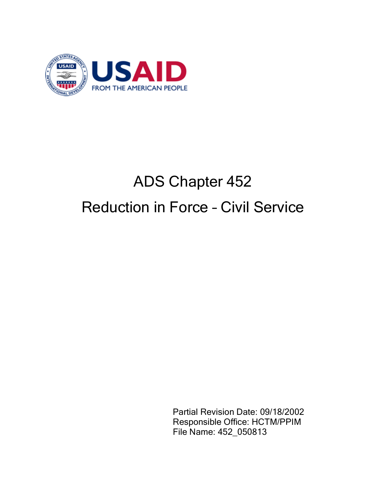

# ADS Chapter 452 Reduction in Force – Civil Service

Partial Revision Date: 09/18/2002 Responsible Office: HCTM/PPIM File Name: 452\_050813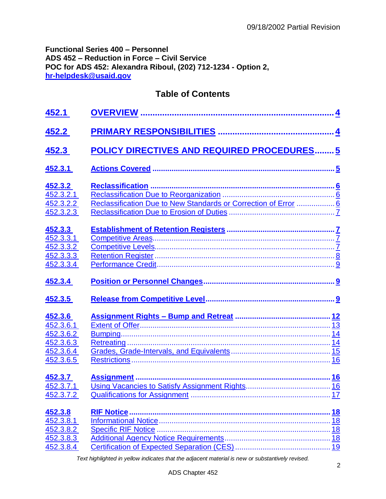## **Functional Series 400 – Personnel ADS 452 – Reduction in Force – Civil Service POC for ADS 452: Alexandra Riboul, (202) 712-1234 - Option 2, [hr-helpdesk@usaid.gov](mailto:hr-helpdesk@usaid.gov)**

# **Table of Contents**

| <u>452.1</u>                                                             |                                                                 |                       |
|--------------------------------------------------------------------------|-----------------------------------------------------------------|-----------------------|
| 452.2                                                                    |                                                                 |                       |
| <u>452.3</u>                                                             | <b>POLICY DIRECTIVES AND REQUIRED PROCEDURES5</b>               |                       |
| 452.3.1                                                                  |                                                                 |                       |
| 452.3.2<br>452.3.2.1<br>452.3.2.2<br>452.3.2.3                           | Reclassification Due to New Standards or Correction of Error  6 |                       |
| 452.3.3<br>452.3.3.1<br>452.3.3.2<br>452.3.3.3<br>452.3.3.4              |                                                                 |                       |
| 452.3.4                                                                  |                                                                 |                       |
| 452.3.5                                                                  |                                                                 |                       |
| 452.3.6<br>452.3.6.1<br>452.3.6.2<br>452.3.6.3<br>452.3.6.4<br>452.3.6.5 |                                                                 |                       |
| 452.3.7<br>452.3.7.1<br>452.3.7.2                                        |                                                                 | <u>17</u>             |
| 452.3.8<br>452.3.8.1<br>452.3.8.2<br>452.3.8.3<br>452.3.8.4              | <b>RIF Notice</b>                                               | <u>18</u><br>18<br>18 |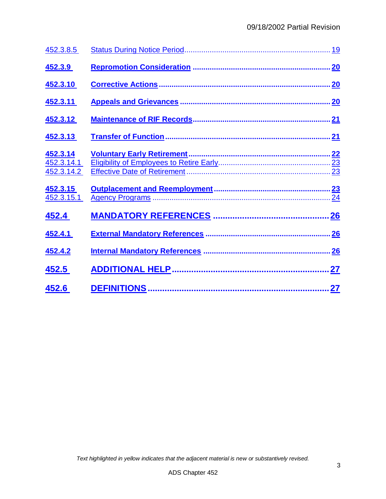| 452.3.8.5                            | <u>19</u> |
|--------------------------------------|-----------|
| 452.3.9                              | 20        |
| 452.3.10                             | 20        |
| 452.3.11                             | 20        |
| 452.3.12                             | 21        |
| 452.3.13                             | 21        |
| 452.3.14<br>452.3.14.1<br>452.3.14.2 | 23<br>23  |
| 452.3.15<br>452.3.15.1               | 24        |
| 452.4                                | 26        |
| 452.4.1                              | 26        |
| 452.4.2                              |           |
| 452.5                                | 27        |
| 452.6                                | .27       |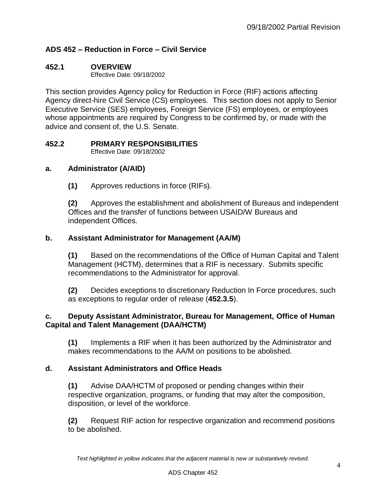## **ADS 452 – Reduction in Force – Civil Service**

#### <span id="page-3-0"></span>**452.1 OVERVIEW**

Effective Date: 09/18/2002

This section provides Agency policy for Reduction in Force (RIF) actions affecting Agency direct-hire Civil Service (CS) employees. This section does not apply to Senior Executive Service (SES) employees, Foreign Service (FS) employees, or employees whose appointments are required by Congress to be confirmed by, or made with the advice and consent of, the U.S. Senate.

# <span id="page-3-1"></span>**452.2 PRIMARY RESPONSIBILITIES**

Effective Date: 09/18/2002

## **a. Administrator (A/AID)**

**(1)** Approves reductions in force (RIFs).

**(2)** Approves the establishment and abolishment of Bureaus and independent Offices and the transfer of functions between USAID/W Bureaus and independent Offices.

## **b. Assistant Administrator for Management (AA/M)**

**(1)** Based on the recommendations of the Office of Human Capital and Talent Management (HCTM), determines that a RIF is necessary. Submits specific recommendations to the Administrator for approval.

**(2)** Decides exceptions to discretionary Reduction In Force procedures, such as exceptions to regular order of release (**452.3.5**).

## **c. Deputy Assistant Administrator, Bureau for Management, Office of Human Capital and Talent Management (DAA/HCTM)**

**(1)** Implements a RIF when it has been authorized by the Administrator and makes recommendations to the AA/M on positions to be abolished.

## **d. Assistant Administrators and Office Heads**

**(1)** Advise DAA/HCTM of proposed or pending changes within their respective organization, programs, or funding that may alter the composition, disposition, or level of the workforce.

**(2)** Request RIF action for respective organization and recommend positions to be abolished.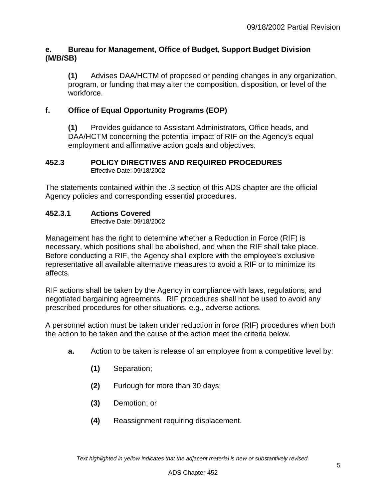## **e. Bureau for Management, Office of Budget, Support Budget Division (M/B/SB)**

**(1)** Advises DAA/HCTM of proposed or pending changes in any organization, program, or funding that may alter the composition, disposition, or level of the workforce.

## **f. Office of Equal Opportunity Programs (EOP)**

**(1)** Provides guidance to Assistant Administrators, Office heads, and DAA/HCTM concerning the potential impact of RIF on the Agency's equal employment and affirmative action goals and objectives.

#### <span id="page-4-0"></span>**452.3 POLICY DIRECTIVES AND REQUIRED PROCEDURES** Effective Date: 09/18/2002

The statements contained within the .3 section of this ADS chapter are the official Agency policies and corresponding essential procedures.

## <span id="page-4-1"></span>**452.3.1 Actions Covered**

Effective Date: 09/18/2002

Management has the right to determine whether a Reduction in Force (RIF) is necessary, which positions shall be abolished, and when the RIF shall take place. Before conducting a RIF, the Agency shall explore with the employee's exclusive representative all available alternative measures to avoid a RIF or to minimize its affects.

RIF actions shall be taken by the Agency in compliance with laws, regulations, and negotiated bargaining agreements. RIF procedures shall not be used to avoid any prescribed procedures for other situations, e.g., adverse actions.

A personnel action must be taken under reduction in force (RIF) procedures when both the action to be taken and the cause of the action meet the criteria below.

- **a.** Action to be taken is release of an employee from a competitive level by:
	- **(1)** Separation;
	- **(2)** Furlough for more than 30 days;
	- **(3)** Demotion; or
	- **(4)** Reassignment requiring displacement.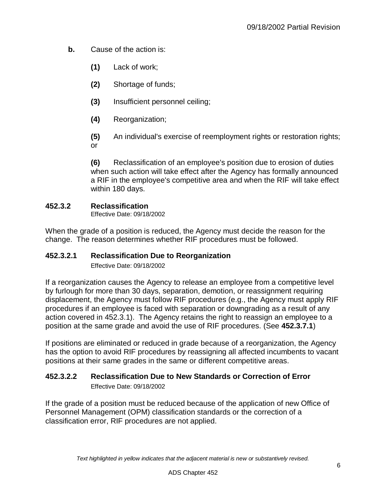- **b.** Cause of the action is:
	- **(1)** Lack of work;
	- **(2)** Shortage of funds;
	- **(3)** Insufficient personnel ceiling;
	- **(4)** Reorganization;
	- **(5)** An individual's exercise of reemployment rights or restoration rights; or

**(6)** Reclassification of an employee's position due to erosion of duties when such action will take effect after the Agency has formally announced a RIF in the employee's competitive area and when the RIF will take effect within 180 days.

## <span id="page-5-0"></span>**452.3.2 Reclassification**

Effective Date: 09/18/2002

When the grade of a position is reduced, the Agency must decide the reason for the change. The reason determines whether RIF procedures must be followed.

## <span id="page-5-1"></span>**452.3.2.1 Reclassification Due to Reorganization**

Effective Date: 09/18/2002

If a reorganization causes the Agency to release an employee from a competitive level by furlough for more than 30 days, separation, demotion, or reassignment requiring displacement, the Agency must follow RIF procedures (e.g., the Agency must apply RIF procedures if an employee is faced with separation or downgrading as a result of any action covered in 452.3.1). The Agency retains the right to reassign an employee to a position at the same grade and avoid the use of RIF procedures. (See **452.3.7.1**)

If positions are eliminated or reduced in grade because of a reorganization, the Agency has the option to avoid RIF procedures by reassigning all affected incumbents to vacant positions at their same grades in the same or different competitive areas.

#### <span id="page-5-2"></span>**452.3.2.2 Reclassification Due to New Standards or Correction of Error** Effective Date: 09/18/2002

<span id="page-5-3"></span>If the grade of a position must be reduced because of the application of new Office of Personnel Management (OPM) classification standards or the correction of a classification error, RIF procedures are not applied.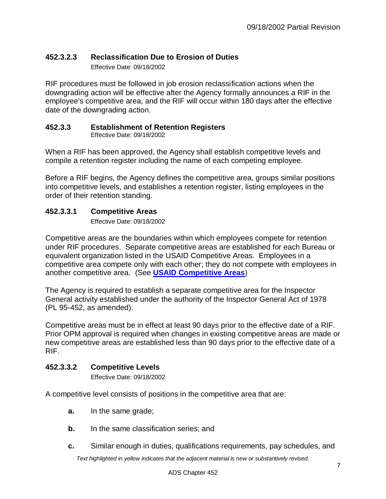## **452.3.2.3 Reclassification Due to Erosion of Duties**

Effective Date: 09/18/2002

RIF procedures must be followed in job erosion reclassification actions when the downgrading action will be effective after the Agency formally announces a RIF in the employee's competitive area, and the RIF will occur within 180 days after the effective date of the downgrading action.

## <span id="page-6-0"></span>**452.3.3 Establishment of Retention Registers**

Effective Date: 09/18/2002

When a RIF has been approved, the Agency shall establish competitive levels and compile a retention register including the name of each competing employee.

Before a RIF begins, the Agency defines the competitive area, groups similar positions into competitive levels, and establishes a retention register, listing employees in the order of their retention standing.

## <span id="page-6-1"></span>**452.3.3.1 Competitive Areas**

Effective Date: 09/18/2002

Competitive areas are the boundaries within which employees compete for retention under RIF procedures. Separate competitive areas are established for each Bureau or equivalent organization listed in the USAID Competitive Areas. Employees in a competitive area compete only with each other; they do not compete with employees in another competitive area. (See **[USAID Competitive Areas](http://www.usaid.gov/ads/policy/400/452maa)**)

The Agency is required to establish a separate competitive area for the Inspector General activity established under the authority of the Inspector General Act of 1978 (PL 95-452, as amended).

Competitive areas must be in effect at least 90 days prior to the effective date of a RIF. Prior OPM approval is required when changes in existing competitive areas are made or new competitive areas are established less than 90 days prior to the effective date of a RIF.

## <span id="page-6-2"></span>**452.3.3.2 Competitive Levels**

Effective Date: 09/18/2002

A competitive level consists of positions in the competitive area that are:

- **a.** In the same grade;
- **b.** In the same classification series; and
- **c.** Similar enough in duties, qualifications requirements, pay schedules, and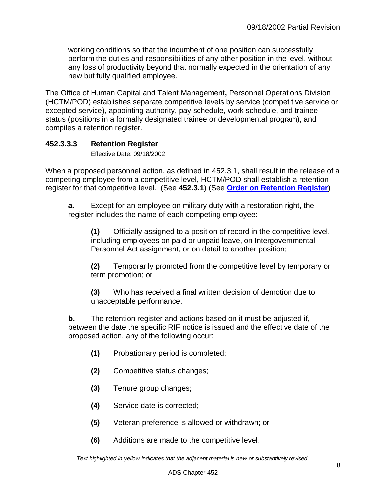working conditions so that the incumbent of one position can successfully perform the duties and responsibilities of any other position in the level, without any loss of productivity beyond that normally expected in the orientation of any new but fully qualified employee.

The Office of Human Capital and Talent Management**,** Personnel Operations Division (HCTM/POD) establishes separate competitive levels by service (competitive service or excepted service), appointing authority, pay schedule, work schedule, and trainee status (positions in a formally designated trainee or developmental program), and compiles a retention register.

## <span id="page-7-0"></span>**452.3.3.3 Retention Register**

Effective Date: 09/18/2002

When a proposed personnel action, as defined in 452.3.1, shall result in the release of a competing employee from a competitive level, HCTM/POD shall establish a retention register for that competitive level. (See **452.3.1**) (See **[Order on Retention Register](http://www.usaid.gov/ads/policy/400/45253cm)**)

**a.** Except for an employee on military duty with a restoration right, the register includes the name of each competing employee:

**(1)** Officially assigned to a position of record in the competitive level, including employees on paid or unpaid leave, on Intergovernmental Personnel Act assignment, or on detail to another position;

**(2)** Temporarily promoted from the competitive level by temporary or term promotion; or

**(3)** Who has received a final written decision of demotion due to unacceptable performance.

**b.** The retention register and actions based on it must be adjusted if, between the date the specific RIF notice is issued and the effective date of the proposed action, any of the following occur:

- **(1)** Probationary period is completed;
- **(2)** Competitive status changes;
- **(3)** Tenure group changes;
- **(4)** Service date is corrected;
- **(5)** Veteran preference is allowed or withdrawn; or
- **(6)** Additions are made to the competitive level.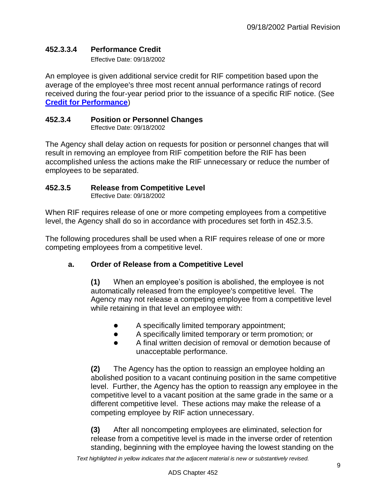## <span id="page-8-0"></span>**452.3.3.4 Performance Credit**

Effective Date: 09/18/2002

An employee is given additional service credit for RIF competition based upon the average of the employee's three most recent annual performance ratings of record received during the four-year period prior to the issuance of a specific RIF notice. (See **[Credit for Performance](http://www.usaid.gov/ads/policy/400/45253dm)**)

#### <span id="page-8-1"></span>**452.3.4 Position or Personnel Changes**

Effective Date: 09/18/2002

The Agency shall delay action on requests for position or personnel changes that will result in removing an employee from RIF competition before the RIF has been accomplished unless the actions make the RIF unnecessary or reduce the number of employees to be separated.

#### <span id="page-8-2"></span>**452.3.5 Release from Competitive Level**

Effective Date: 09/18/2002

When RIF requires release of one or more competing employees from a competitive level, the Agency shall do so in accordance with procedures set forth in 452.3.5.

The following procedures shall be used when a RIF requires release of one or more competing employees from a competitive level.

#### **a. Order of Release from a Competitive Level**

**(1)** When an employee's position is abolished, the employee is not automatically released from the employee's competitive level. The Agency may not release a competing employee from a competitive level while retaining in that level an employee with:

- A specifically limited temporary appointment;
- A specifically limited temporary or term promotion; or
- A final written decision of removal or demotion because of unacceptable performance.

**(2)** The Agency has the option to reassign an employee holding an abolished position to a vacant continuing position in the same competitive level. Further, the Agency has the option to reassign any employee in the competitive level to a vacant position at the same grade in the same or a different competitive level. These actions may make the release of a competing employee by RIF action unnecessary.

**(3)** After all noncompeting employees are eliminated, selection for release from a competitive level is made in the inverse order of retention standing, beginning with the employee having the lowest standing on the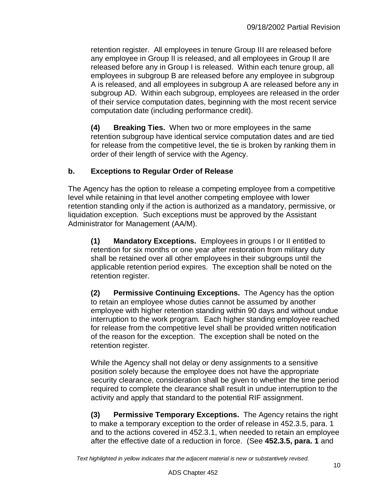retention register. All employees in tenure Group III are released before any employee in Group II is released, and all employees in Group II are released before any in Group I is released. Within each tenure group, all employees in subgroup B are released before any employee in subgroup A is released, and all employees in subgroup A are released before any in subgroup AD. Within each subgroup, employees are released in the order of their service computation dates, beginning with the most recent service computation date (including performance credit).

**(4) Breaking Ties.** When two or more employees in the same retention subgroup have identical service computation dates and are tied for release from the competitive level, the tie is broken by ranking them in order of their length of service with the Agency.

## **b. Exceptions to Regular Order of Release**

The Agency has the option to release a competing employee from a competitive level while retaining in that level another competing employee with lower retention standing only if the action is authorized as a mandatory, permissive, or liquidation exception. Such exceptions must be approved by the Assistant Administrator for Management (AA/M).

**(1) Mandatory Exceptions.** Employees in groups I or II entitled to retention for six months or one year after restoration from military duty shall be retained over all other employees in their subgroups until the applicable retention period expires. The exception shall be noted on the retention register.

**(2) Permissive Continuing Exceptions.** The Agency has the option to retain an employee whose duties cannot be assumed by another employee with higher retention standing within 90 days and without undue interruption to the work program. Each higher standing employee reached for release from the competitive level shall be provided written notification of the reason for the exception. The exception shall be noted on the retention register.

While the Agency shall not delay or deny assignments to a sensitive position solely because the employee does not have the appropriate security clearance, consideration shall be given to whether the time period required to complete the clearance shall result in undue interruption to the activity and apply that standard to the potential RIF assignment.

**(3) Permissive Temporary Exceptions.** The Agency retains the right to make a temporary exception to the order of release in 452.3.5, para. 1 and to the actions covered in 452.3.1, when needed to retain an employee after the effective date of a reduction in force. (See **452.3.5, para. 1** and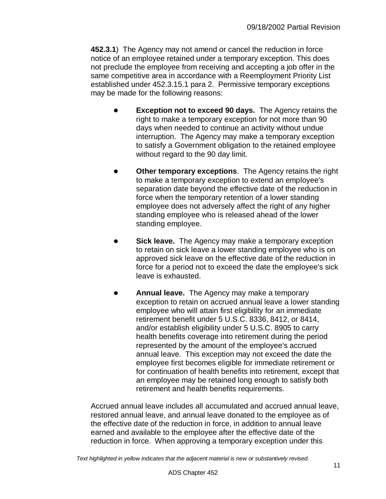**452.3.1**) The Agency may not amend or cancel the reduction in force notice of an employee retained under a temporary exception. This does not preclude the employee from receiving and accepting a job offer in the same competitive area in accordance with a Reemployment Priority List established under 452.3.15.1 para 2. Permissive temporary exceptions may be made for the following reasons:

- **Exception not to exceed 90 days.** The Agency retains the right to make a temporary exception for not more than 90 days when needed to continue an activity without undue interruption. The Agency may make a temporary exception to satisfy a Government obligation to the retained employee without regard to the 90 day limit.
- **Other temporary exceptions**. The Agency retains the right to make a temporary exception to extend an employee's separation date beyond the effective date of the reduction in force when the temporary retention of a lower standing employee does not adversely affect the right of any higher standing employee who is released ahead of the lower standing employee.
- **Sick leave.** The Agency may make a temporary exception to retain on sick leave a lower standing employee who is on approved sick leave on the effective date of the reduction in force for a period not to exceed the date the employee's sick leave is exhausted.
- **Annual leave.** The Agency may make a temporary exception to retain on accrued annual leave a lower standing employee who will attain first eligibility for an immediate retirement benefit under 5 U.S.C. 8336, 8412, or 8414, and/or establish eligibility under 5 U.S.C. 8905 to carry health benefits coverage into retirement during the period represented by the amount of the employee's accrued annual leave. This exception may not exceed the date the employee first becomes eligible for immediate retirement or for continuation of health benefits into retirement, except that an employee may be retained long enough to satisfy both retirement and health benefits requirements.

Accrued annual leave includes all accumulated and accrued annual leave, restored annual leave, and annual leave donated to the employee as of the effective date of the reduction in force, in addition to annual leave earned and available to the employee after the effective date of the reduction in force. When approving a temporary exception under this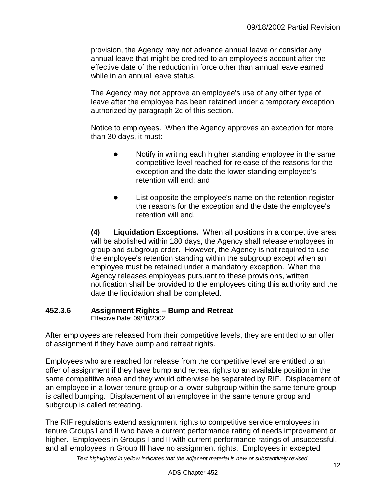provision, the Agency may not advance annual leave or consider any annual leave that might be credited to an employee's account after the effective date of the reduction in force other than annual leave earned while in an annual leave status.

The Agency may not approve an employee's use of any other type of leave after the employee has been retained under a temporary exception authorized by paragraph 2c of this section.

Notice to employees. When the Agency approves an exception for more than 30 days, it must:

- Notify in writing each higher standing employee in the same competitive level reached for release of the reasons for the exception and the date the lower standing employee's retention will end; and
- List opposite the employee's name on the retention register the reasons for the exception and the date the employee's retention will end.

**(4) Liquidation Exceptions.** When all positions in a competitive area will be abolished within 180 days, the Agency shall release employees in group and subgroup order. However, the Agency is not required to use the employee's retention standing within the subgroup except when an employee must be retained under a mandatory exception. When the Agency releases employees pursuant to these provisions, written notification shall be provided to the employees citing this authority and the date the liquidation shall be completed.

#### <span id="page-11-0"></span>**452.3.6 Assignment Rights – Bump and Retreat** Effective Date: 09/18/2002

After employees are released from their competitive levels, they are entitled to an offer of assignment if they have bump and retreat rights.

Employees who are reached for release from the competitive level are entitled to an offer of assignment if they have bump and retreat rights to an available position in the same competitive area and they would otherwise be separated by RIF. Displacement of an employee in a lower tenure group or a lower subgroup within the same tenure group is called bumping. Displacement of an employee in the same tenure group and subgroup is called retreating.

The RIF regulations extend assignment rights to competitive service employees in tenure Groups I and II who have a current performance rating of needs improvement or higher. Employees in Groups I and II with current performance ratings of unsuccessful, and all employees in Group III have no assignment rights. Employees in excepted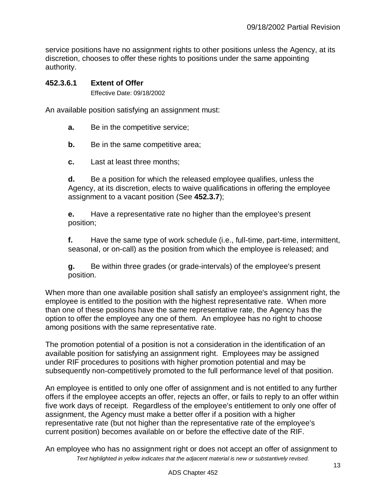service positions have no assignment rights to other positions unless the Agency, at its discretion, chooses to offer these rights to positions under the same appointing authority.

#### <span id="page-12-0"></span>**452.3.6.1 Extent of Offer**

Effective Date: 09/18/2002

An available position satisfying an assignment must:

- **a.** Be in the competitive service;
- **b.** Be in the same competitive area;
- **c.** Last at least three months;

**d.** Be a position for which the released employee qualifies, unless the Agency, at its discretion, elects to waive qualifications in offering the employee assignment to a vacant position (See **452.3.7**);

**e.** Have a representative rate no higher than the employee's present position;

**f.** Have the same type of work schedule (i.e., full-time, part-time, intermittent, seasonal, or on-call) as the position from which the employee is released; and

**g.** Be within three grades (or grade-intervals) of the employee's present position.

When more than one available position shall satisfy an employee's assignment right, the employee is entitled to the position with the highest representative rate. When more than one of these positions have the same representative rate, the Agency has the option to offer the employee any one of them. An employee has no right to choose among positions with the same representative rate.

The promotion potential of a position is not a consideration in the identification of an available position for satisfying an assignment right. Employees may be assigned under RIF procedures to positions with higher promotion potential and may be subsequently non-competitively promoted to the full performance level of that position.

An employee is entitled to only one offer of assignment and is not entitled to any further offers if the employee accepts an offer, rejects an offer, or fails to reply to an offer within five work days of receipt. Regardless of the employee's entitlement to only one offer of assignment, the Agency must make a better offer if a position with a higher representative rate (but not higher than the representative rate of the employee's current position) becomes available on or before the effective date of the RIF.

*Text highlighted in yellow indicates that the adjacent material is new or substantively revised.* An employee who has no assignment right or does not accept an offer of assignment to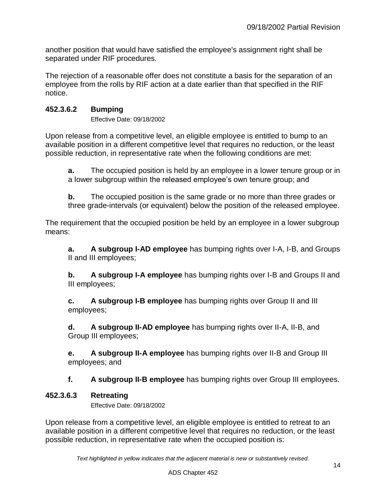another position that would have satisfied the employee's assignment right shall be separated under RIF procedures.

The rejection of a reasonable offer does not constitute a basis for the separation of an employee from the rolls by RIF action at a date earlier than that specified in the RIF notice.

## <span id="page-13-0"></span>**452.3.6.2 Bumping**

Effective Date: 09/18/2002

Upon release from a competitive level, an eligible employee is entitled to bump to an available position in a different competitive level that requires no reduction, or the least possible reduction, in representative rate when the following conditions are met:

**a.** The occupied position is held by an employee in a lower tenure group or in a lower subgroup within the released employee's own tenure group; and

**b.** The occupied position is the same grade or no more than three grades or three grade-intervals (or equivalent) below the position of the released employee.

The requirement that the occupied position be held by an employee in a lower subgroup means:

**a. A subgroup I-AD employee** has bumping rights over I-A, I-B, and Groups II and III employees;

**b. A subgroup I-A employee** has bumping rights over I-B and Groups II and III employees;

**c. A subgroup I-B employee** has bumping rights over Group II and III employees;

**d. A subgroup II-AD employee** has bumping rights over II-A, II-B, and Group III employees;

**e. A subgroup II-A employee** has bumping rights over II-B and Group III employees; and

**f. A subgroup II-B employee** has bumping rights over Group III employees.

#### <span id="page-13-1"></span>**452.3.6.3 Retreating**

Effective Date: 09/18/2002

Upon release from a competitive level, an eligible employee is entitled to retreat to an available position in a different competitive level that requires no reduction, or the least possible reduction, in representative rate when the occupied position is: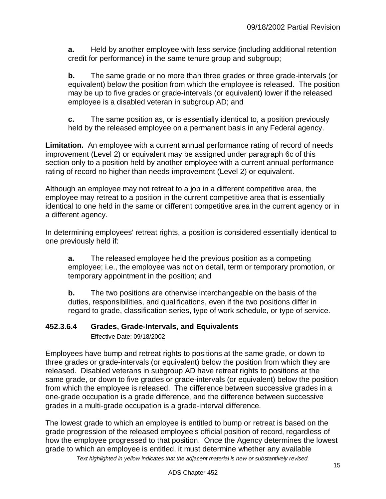**a.** Held by another employee with less service (including additional retention credit for performance) in the same tenure group and subgroup;

**b.** The same grade or no more than three grades or three grade-intervals (or equivalent) below the position from which the employee is released. The position may be up to five grades or grade-intervals (or equivalent) lower if the released employee is a disabled veteran in subgroup AD; and

**c.** The same position as, or is essentially identical to, a position previously held by the released employee on a permanent basis in any Federal agency.

**Limitation.** An employee with a current annual performance rating of record of needs improvement (Level 2) or equivalent may be assigned under paragraph 6c of this section only to a position held by another employee with a current annual performance rating of record no higher than needs improvement (Level 2) or equivalent.

Although an employee may not retreat to a job in a different competitive area, the employee may retreat to a position in the current competitive area that is essentially identical to one held in the same or different competitive area in the current agency or in a different agency.

In determining employees' retreat rights, a position is considered essentially identical to one previously held if:

**a.** The released employee held the previous position as a competing employee; i.e., the employee was not on detail, term or temporary promotion, or temporary appointment in the position; and

**b.** The two positions are otherwise interchangeable on the basis of the duties, responsibilities, and qualifications, even if the two positions differ in regard to grade, classification series, type of work schedule, or type of service.

## <span id="page-14-0"></span>**452.3.6.4 Grades, Grade-Intervals, and Equivalents**

Effective Date: 09/18/2002

Employees have bump and retreat rights to positions at the same grade, or down to three grades or grade-intervals (or equivalent) below the position from which they are released. Disabled veterans in subgroup AD have retreat rights to positions at the same grade, or down to five grades or grade-intervals (or equivalent) below the position from which the employee is released. The difference between successive grades in a one-grade occupation is a grade difference, and the difference between successive grades in a multi-grade occupation is a grade-interval difference.

The lowest grade to which an employee is entitled to bump or retreat is based on the grade progression of the released employee's official position of record, regardless of how the employee progressed to that position. Once the Agency determines the lowest grade to which an employee is entitled, it must determine whether any available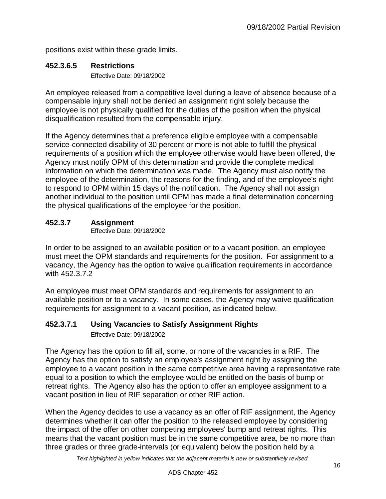positions exist within these grade limits.

## <span id="page-15-0"></span>**452.3.6.5 Restrictions**

Effective Date: 09/18/2002

An employee released from a competitive level during a leave of absence because of a compensable injury shall not be denied an assignment right solely because the employee is not physically qualified for the duties of the position when the physical disqualification resulted from the compensable injury.

If the Agency determines that a preference eligible employee with a compensable service-connected disability of 30 percent or more is not able to fulfill the physical requirements of a position which the employee otherwise would have been offered, the Agency must notify OPM of this determination and provide the complete medical information on which the determination was made. The Agency must also notify the employee of the determination, the reasons for the finding, and of the employee's right to respond to OPM within 15 days of the notification. The Agency shall not assign another individual to the position until OPM has made a final determination concerning the physical qualifications of the employee for the position.

## <span id="page-15-1"></span>**452.3.7 Assignment**

Effective Date: 09/18/2002

In order to be assigned to an available position or to a vacant position, an employee must meet the OPM standards and requirements for the position. For assignment to a vacancy, the Agency has the option to waive qualification requirements in accordance with 452.3.7.2

An employee must meet OPM standards and requirements for assignment to an available position or to a vacancy. In some cases, the Agency may waive qualification requirements for assignment to a vacant position, as indicated below.

# <span id="page-15-2"></span>**452.3.7.1 Using Vacancies to Satisfy Assignment Rights**

Effective Date: 09/18/2002

The Agency has the option to fill all, some, or none of the vacancies in a RIF. The Agency has the option to satisfy an employee's assignment right by assigning the employee to a vacant position in the same competitive area having a representative rate equal to a position to which the employee would be entitled on the basis of bump or retreat rights. The Agency also has the option to offer an employee assignment to a vacant position in lieu of RIF separation or other RIF action.

When the Agency decides to use a vacancy as an offer of RIF assignment, the Agency determines whether it can offer the position to the released employee by considering the impact of the offer on other competing employees' bump and retreat rights. This means that the vacant position must be in the same competitive area, be no more than three grades or three grade-intervals (or equivalent) below the position held by a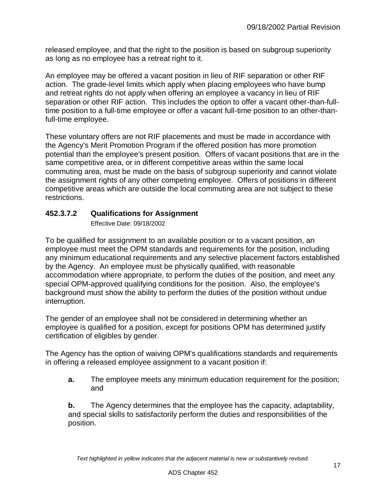released employee, and that the right to the position is based on subgroup superiority as long as no employee has a retreat right to it.

An employee may be offered a vacant position in lieu of RIF separation or other RIF action. The grade-level limits which apply when placing employees who have bump and retreat rights do not apply when offering an employee a vacancy in lieu of RIF separation or other RIF action. This includes the option to offer a vacant other-than-fulltime position to a full-time employee or offer a vacant full-time position to an other-thanfull-time employee.

These voluntary offers are not RIF placements and must be made in accordance with the Agency's Merit Promotion Program if the offered position has more promotion potential than the employee's present position. Offers of vacant positions that are in the same competitive area, or in different competitive areas within the same local commuting area, must be made on the basis of subgroup superiority and cannot violate the assignment rights of any other competing employee. Offers of positions in different competitive areas which are outside the local commuting area are not subject to these restrictions.

## <span id="page-16-0"></span>**452.3.7.2 Qualifications for Assignment**

Effective Date: 09/18/2002

To be qualified for assignment to an available position or to a vacant position, an employee must meet the OPM standards and requirements for the position, including any minimum educational requirements and any selective placement factors established by the Agency. An employee must be physically qualified, with reasonable accommodation where appropriate, to perform the duties of the position, and meet any special OPM-approved qualifying conditions for the position. Also, the employee's background must show the ability to perform the duties of the position without undue interruption.

The gender of an employee shall not be considered in determining whether an employee is qualified for a position, except for positions OPM has determined justify certification of eligibles by gender.

The Agency has the option of waiving OPM's qualifications standards and requirements in offering a released employee assignment to a vacant position if:

**a.** The employee meets any minimum education requirement for the position; and

<span id="page-16-1"></span>**b.** The Agency determines that the employee has the capacity, adaptability, and special skills to satisfactorily perform the duties and responsibilities of the position.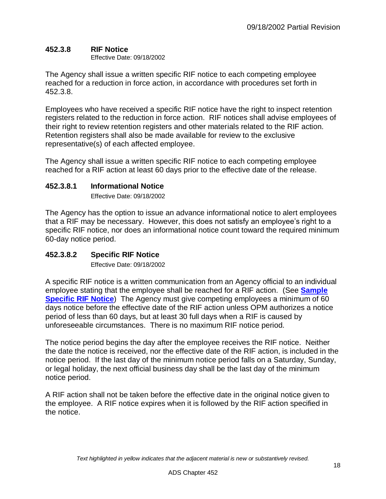## **452.3.8 RIF Notice**

Effective Date: 09/18/2002

The Agency shall issue a written specific RIF notice to each competing employee reached for a reduction in force action, in accordance with procedures set forth in 452.3.8.

Employees who have received a specific RIF notice have the right to inspect retention registers related to the reduction in force action. RIF notices shall advise employees of their right to review retention registers and other materials related to the RIF action. Retention registers shall also be made available for review to the exclusive representative(s) of each affected employee.

The Agency shall issue a written specific RIF notice to each competing employee reached for a RIF action at least 60 days prior to the effective date of the release.

## <span id="page-17-0"></span>**452.3.8.1 Informational Notice**

Effective Date: 09/18/2002

The Agency has the option to issue an advance informational notice to alert employees that a RIF may be necessary. However, this does not satisfy an employee's right to a specific RIF notice, nor does an informational notice count toward the required minimum 60-day notice period.

## <span id="page-17-1"></span>**452.3.8.2 Specific RIF Notice**

Effective Date: 09/18/2002

A specific RIF notice is a written communication from an Agency official to an individual employee stating that the employee shall be reached for a RIF action. (See **[Sample](http://www.usaid.gov/ads/policy/400/45258bm)  [Specific RIF Notice](http://www.usaid.gov/ads/policy/400/45258bm)**) The Agency must give competing employees a minimum of 60 days notice before the effective date of the RIF action unless OPM authorizes a notice period of less than 60 days, but at least 30 full days when a RIF is caused by unforeseeable circumstances. There is no maximum RIF notice period.

The notice period begins the day after the employee receives the RIF notice. Neither the date the notice is received, nor the effective date of the RIF action, is included in the notice period. If the last day of the minimum notice period falls on a Saturday, Sunday, or legal holiday, the next official business day shall be the last day of the minimum notice period.

<span id="page-17-2"></span>A RIF action shall not be taken before the effective date in the original notice given to the employee. A RIF notice expires when it is followed by the RIF action specified in the notice.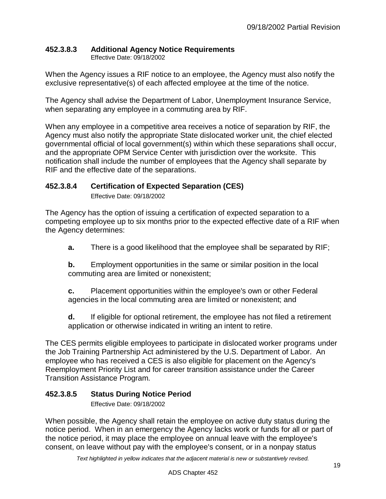# **452.3.8.3 Additional Agency Notice Requirements**

Effective Date: 09/18/2002

When the Agency issues a RIF notice to an employee, the Agency must also notify the exclusive representative(s) of each affected employee at the time of the notice.

The Agency shall advise the Department of Labor, Unemployment Insurance Service, when separating any employee in a commuting area by RIF.

When any employee in a competitive area receives a notice of separation by RIF, the Agency must also notify the appropriate State dislocated worker unit, the chief elected governmental official of local government(s) within which these separations shall occur, and the appropriate OPM Service Center with jurisdiction over the worksite. This notification shall include the number of employees that the Agency shall separate by RIF and the effective date of the separations.

## <span id="page-18-0"></span>**452.3.8.4 Certification of Expected Separation (CES)**

Effective Date: 09/18/2002

The Agency has the option of issuing a certification of expected separation to a competing employee up to six months prior to the expected effective date of a RIF when the Agency determines:

**a.** There is a good likelihood that the employee shall be separated by RIF;

**b.** Employment opportunities in the same or similar position in the local commuting area are limited or nonexistent;

**c.** Placement opportunities within the employee's own or other Federal agencies in the local commuting area are limited or nonexistent; and

**d.** If eligible for optional retirement, the employee has not filed a retirement application or otherwise indicated in writing an intent to retire.

The CES permits eligible employees to participate in dislocated worker programs under the Job Training Partnership Act administered by the U.S. Department of Labor. An employee who has received a CES is also eligible for placement on the Agency's Reemployment Priority List and for career transition assistance under the Career Transition Assistance Program.

## <span id="page-18-1"></span>**452.3.8.5 Status During Notice Period**

Effective Date: 09/18/2002

When possible, the Agency shall retain the employee on active duty status during the notice period. When in an emergency the Agency lacks work or funds for all or part of the notice period, it may place the employee on annual leave with the employee's consent, on leave without pay with the employee's consent, or in a nonpay status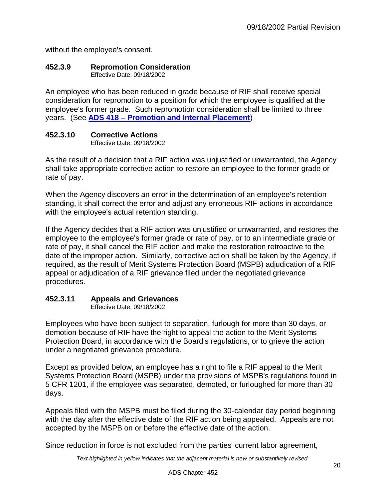without the employee's consent.

## <span id="page-19-0"></span>**452.3.9 Repromotion Consideration**

Effective Date: 09/18/2002

An employee who has been reduced in grade because of RIF shall receive special consideration for repromotion to a position for which the employee is qualified at the employee's former grade. Such repromotion consideration shall be limited to three years. (See **ADS 418 – [Promotion and Internal Placement](http://www.usaid.gov/ads/policy/400/418)**)

## <span id="page-19-1"></span>**452.3.10 Corrective Actions**

Effective Date: 09/18/2002

As the result of a decision that a RIF action was unjustified or unwarranted, the Agency shall take appropriate corrective action to restore an employee to the former grade or rate of pay.

When the Agency discovers an error in the determination of an employee's retention standing, it shall correct the error and adjust any erroneous RIF actions in accordance with the employee's actual retention standing.

If the Agency decides that a RIF action was unjustified or unwarranted, and restores the employee to the employee's former grade or rate of pay, or to an intermediate grade or rate of pay, it shall cancel the RIF action and make the restoration retroactive to the date of the improper action. Similarly, corrective action shall be taken by the Agency, if required, as the result of Merit Systems Protection Board (MSPB) adjudication of a RIF appeal or adjudication of a RIF grievance filed under the negotiated grievance procedures.

# <span id="page-19-2"></span>**452.3.11 Appeals and Grievances**

Effective Date: 09/18/2002

Employees who have been subject to separation, furlough for more than 30 days, or demotion because of RIF have the right to appeal the action to the Merit Systems Protection Board, in accordance with the Board's regulations, or to grieve the action under a negotiated grievance procedure.

Except as provided below, an employee has a right to file a RIF appeal to the Merit Systems Protection Board (MSPB) under the provisions of MSPB's regulations found in 5 CFR 1201, if the employee was separated, demoted, or furloughed for more than 30 days.

Appeals filed with the MSPB must be filed during the 30-calendar day period beginning with the day after the effective date of the RIF action being appealed. Appeals are not accepted by the MSPB on or before the effective date of the action.

Since reduction in force is not excluded from the parties' current labor agreement,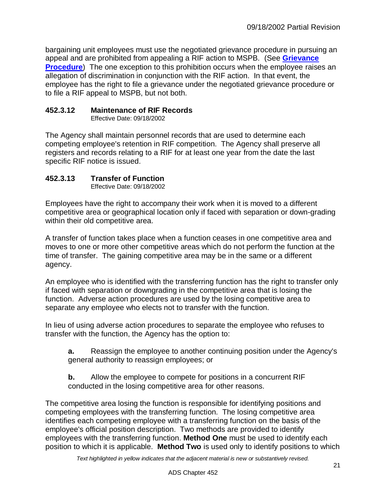bargaining unit employees must use the negotiated grievance procedure in pursuing an appeal and are prohibited from appealing a RIF action to MSPB. (See **[Grievance](http://www.usaid.gov/ads/policy/400/452511m)  [Procedure](http://www.usaid.gov/ads/policy/400/452511m)**) The one exception to this prohibition occurs when the employee raises an allegation of discrimination in conjunction with the RIF action. In that event, the employee has the right to file a grievance under the negotiated grievance procedure or to file a RIF appeal to MSPB, but not both.

## <span id="page-20-0"></span>**452.3.12 Maintenance of RIF Records**

Effective Date: 09/18/2002

The Agency shall maintain personnel records that are used to determine each competing employee's retention in RIF competition. The Agency shall preserve all registers and records relating to a RIF for at least one year from the date the last specific RIF notice is issued.

## <span id="page-20-1"></span>**452.3.13 Transfer of Function**

Effective Date: 09/18/2002

Employees have the right to accompany their work when it is moved to a different competitive area or geographical location only if faced with separation or down-grading within their old competitive area.

A transfer of function takes place when a function ceases in one competitive area and moves to one or more other competitive areas which do not perform the function at the time of transfer. The gaining competitive area may be in the same or a different agency.

An employee who is identified with the transferring function has the right to transfer only if faced with separation or downgrading in the competitive area that is losing the function. Adverse action procedures are used by the losing competitive area to separate any employee who elects not to transfer with the function.

In lieu of using adverse action procedures to separate the employee who refuses to transfer with the function, the Agency has the option to:

**a.** Reassign the employee to another continuing position under the Agency's general authority to reassign employees; or

**b.** Allow the employee to compete for positions in a concurrent RIF conducted in the losing competitive area for other reasons.

The competitive area losing the function is responsible for identifying positions and competing employees with the transferring function. The losing competitive area identifies each competing employee with a transferring function on the basis of the employee's official position description. Two methods are provided to identify employees with the transferring function. **Method One** must be used to identify each position to which it is applicable. **Method Two** is used only to identify positions to which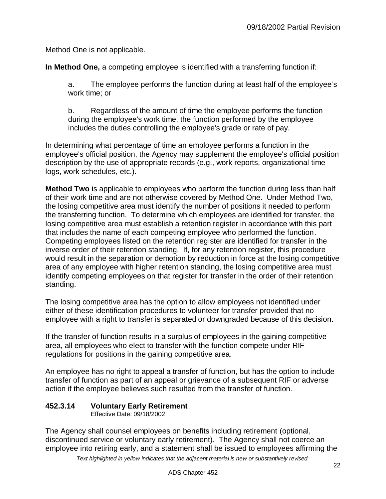Method One is not applicable.

**In Method One,** a competing employee is identified with a transferring function if:

a. The employee performs the function during at least half of the employee's work time; or

b. Regardless of the amount of time the employee performs the function during the employee's work time, the function performed by the employee includes the duties controlling the employee's grade or rate of pay.

In determining what percentage of time an employee performs a function in the employee's official position, the Agency may supplement the employee's official position description by the use of appropriate records (e.g., work reports, organizational time logs, work schedules, etc.).

**Method Two** is applicable to employees who perform the function during less than half of their work time and are not otherwise covered by Method One. Under Method Two, the losing competitive area must identify the number of positions it needed to perform the transferring function. To determine which employees are identified for transfer, the losing competitive area must establish a retention register in accordance with this part that includes the name of each competing employee who performed the function. Competing employees listed on the retention register are identified for transfer in the inverse order of their retention standing. If, for any retention register, this procedure would result in the separation or demotion by reduction in force at the losing competitive area of any employee with higher retention standing, the losing competitive area must identify competing employees on that register for transfer in the order of their retention standing.

The losing competitive area has the option to allow employees not identified under either of these identification procedures to volunteer for transfer provided that no employee with a right to transfer is separated or downgraded because of this decision.

If the transfer of function results in a surplus of employees in the gaining competitive area, all employees who elect to transfer with the function compete under RIF regulations for positions in the gaining competitive area.

An employee has no right to appeal a transfer of function, but has the option to include transfer of function as part of an appeal or grievance of a subsequent RIF or adverse action if the employee believes such resulted from the transfer of function.

## <span id="page-21-0"></span>**452.3.14 Voluntary Early Retirement**

Effective Date: 09/18/2002

The Agency shall counsel employees on benefits including retirement (optional, discontinued service or voluntary early retirement). The Agency shall not coerce an employee into retiring early, and a statement shall be issued to employees affirming the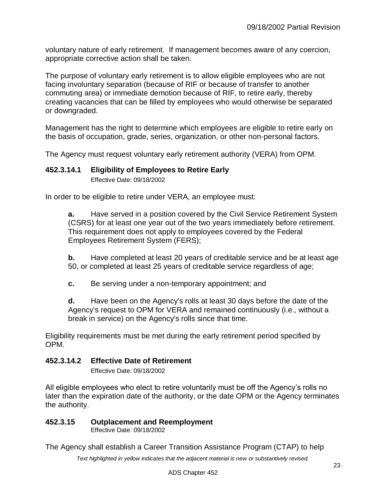voluntary nature of early retirement. If management becomes aware of any coercion, appropriate corrective action shall be taken.

The purpose of voluntary early retirement is to allow eligible employees who are not facing involuntary separation (because of RIF or because of transfer to another commuting area) or immediate demotion because of RIF, to retire early, thereby creating vacancies that can be filled by employees who would otherwise be separated or downgraded.

Management has the right to determine which employees are eligible to retire early on the basis of occupation, grade, series, organization, or other non-personal factors.

The Agency must request voluntary early retirement authority (VERA) from OPM.

#### <span id="page-22-0"></span>**452.3.14.1 Eligibility of Employees to Retire Early**

Effective Date: 09/18/2002

In order to be eligible to retire under VERA, an employee must:

**a.** Have served in a position covered by the Civil Service Retirement System (CSRS) for at least one year out of the two years immediately before retirement. This requirement does not apply to employees covered by the Federal Employees Retirement System (FERS);

**b.** Have completed at least 20 years of creditable service and be at least age 50, or completed at least 25 years of creditable service regardless of age;

**c.** Be serving under a non-temporary appointment; and

**d.** Have been on the Agency's rolls at least 30 days before the date of the Agency's request to OPM for VERA and remained continuously (i.e., without a break in service) on the Agency's rolls since that time.

Eligibility requirements must be met during the early retirement period specified by OPM.

#### <span id="page-22-1"></span>**452.3.14.2 Effective Date of Retirement**

Effective Date: 09/18/2002

All eligible employees who elect to retire voluntarily must be off the Agency's rolls no later than the expiration date of the authority, or the date OPM or the Agency terminates the authority.

#### <span id="page-22-2"></span>**452.3.15 Outplacement and Reemployment**

Effective Date: 09/18/2002

The Agency shall establish a Career Transition Assistance Program (CTAP) to help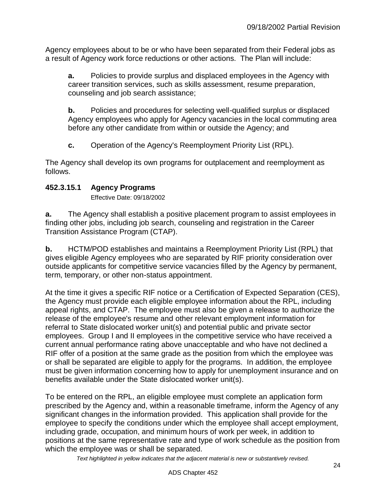Agency employees about to be or who have been separated from their Federal jobs as a result of Agency work force reductions or other actions. The Plan will include:

**a.** Policies to provide surplus and displaced employees in the Agency with career transition services, such as skills assessment, resume preparation, counseling and job search assistance;

**b.** Policies and procedures for selecting well-qualified surplus or displaced Agency employees who apply for Agency vacancies in the local commuting area before any other candidate from within or outside the Agency; and

**c.** Operation of the Agency's Reemployment Priority List (RPL).

The Agency shall develop its own programs for outplacement and reemployment as follows.

## <span id="page-23-0"></span>**452.3.15.1 Agency Programs**

Effective Date: 09/18/2002

**a.** The Agency shall establish a positive placement program to assist employees in finding other jobs, including job search, counseling and registration in the Career Transition Assistance Program (CTAP).

**b.** HCTM/POD establishes and maintains a Reemployment Priority List (RPL) that gives eligible Agency employees who are separated by RIF priority consideration over outside applicants for competitive service vacancies filled by the Agency by permanent, term, temporary, or other non-status appointment.

At the time it gives a specific RIF notice or a Certification of Expected Separation (CES), the Agency must provide each eligible employee information about the RPL, including appeal rights, and CTAP. The employee must also be given a release to authorize the release of the employee's resume and other relevant employment information for referral to State dislocated worker unit(s) and potential public and private sector employees. Group I and II employees in the competitive service who have received a current annual performance rating above unacceptable and who have not declined a RIF offer of a position at the same grade as the position from which the employee was or shall be separated are eligible to apply for the programs. In addition, the employee must be given information concerning how to apply for unemployment insurance and on benefits available under the State dislocated worker unit(s).

To be entered on the RPL, an eligible employee must complete an application form prescribed by the Agency and, within a reasonable timeframe, inform the Agency of any significant changes in the information provided. This application shall provide for the employee to specify the conditions under which the employee shall accept employment, including grade, occupation, and minimum hours of work per week, in addition to positions at the same representative rate and type of work schedule as the position from which the employee was or shall be separated.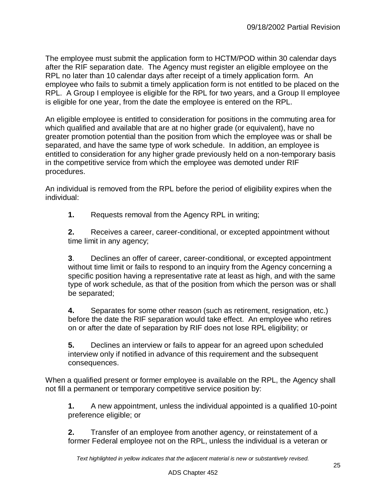The employee must submit the application form to HCTM/POD within 30 calendar days after the RIF separation date. The Agency must register an eligible employee on the RPL no later than 10 calendar days after receipt of a timely application form. An employee who fails to submit a timely application form is not entitled to be placed on the RPL. A Group I employee is eligible for the RPL for two years, and a Group II employee is eligible for one year, from the date the employee is entered on the RPL.

An eligible employee is entitled to consideration for positions in the commuting area for which qualified and available that are at no higher grade (or equivalent), have no greater promotion potential than the position from which the employee was or shall be separated, and have the same type of work schedule. In addition, an employee is entitled to consideration for any higher grade previously held on a non-temporary basis in the competitive service from which the employee was demoted under RIF procedures.

An individual is removed from the RPL before the period of eligibility expires when the individual:

**1.** Requests removal from the Agency RPL in writing;

**2.** Receives a career, career-conditional, or excepted appointment without time limit in any agency;

**3**. Declines an offer of career, career-conditional, or excepted appointment without time limit or fails to respond to an inquiry from the Agency concerning a specific position having a representative rate at least as high, and with the same type of work schedule, as that of the position from which the person was or shall be separated;

**4.** Separates for some other reason (such as retirement, resignation, etc.) before the date the RIF separation would take effect. An employee who retires on or after the date of separation by RIF does not lose RPL eligibility; or

**5.** Declines an interview or fails to appear for an agreed upon scheduled interview only if notified in advance of this requirement and the subsequent consequences.

When a qualified present or former employee is available on the RPL, the Agency shall not fill a permanent or temporary competitive service position by:

**1.** A new appointment, unless the individual appointed is a qualified 10-point preference eligible; or

**2.** Transfer of an employee from another agency, or reinstatement of a former Federal employee not on the RPL, unless the individual is a veteran or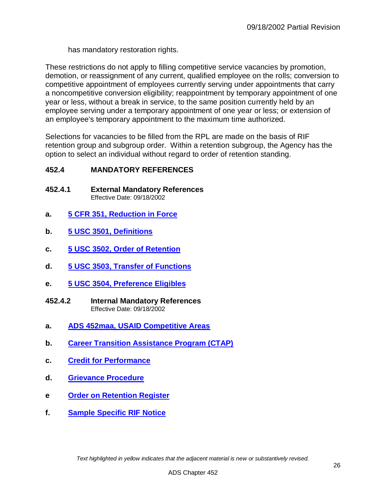has mandatory restoration rights.

These restrictions do not apply to filling competitive service vacancies by promotion, demotion, or reassignment of any current, qualified employee on the rolls; conversion to competitive appointment of employees currently serving under appointments that carry a noncompetitive conversion eligibility; reappointment by temporary appointment of one year or less, without a break in service, to the same position currently held by an employee serving under a temporary appointment of one year or less; or extension of an employee's temporary appointment to the maximum time authorized.

Selections for vacancies to be filled from the RPL are made on the basis of RIF retention group and subgroup order. Within a retention subgroup, the Agency has the option to select an individual without regard to order of retention standing.

#### <span id="page-25-0"></span>**452.4 MANDATORY REFERENCES**

- <span id="page-25-1"></span>**452.4.1 External Mandatory References** Effective Date: 09/18/2002
- **a. [5 CFR 351, Reduction in Force](http://www.gpo.gov/fdsys/pkg/CFR-2011-title5-vol1/pdf/CFR-2011-title5-vol1-part351.pdf)**
- **b. [5 USC 3501, Definitions](http://uscode.house.gov/view.xhtml?req=(title:5%20section:3501%20edition:prelim)%20OR%20(granuleid:USC-prelim-title5-section3501)&f=treesort&edition=prelim&num=0&jumpTo=true)**
- **c. [5 USC 3502, Order of Retention](http://uscode.house.gov/view.xhtml?req=(title:5%20section:3502%20edition:prelim)%20OR%20(granuleid:USC-prelim-title5-section3502)&f=treesort&edition=prelim&num=0&jumpTo=true)**
- **d. [5 USC 3503, Transfer of Functions](http://uscode.house.gov/view.xhtml?req=(title:5%20section:3503%20edition:prelim)%20OR%20(granuleid:USC-prelim-title5-section3503)&f=treesort&edition=prelim&num=0&jumpTo=true)**
- **e. [5 USC 3504, Preference](http://uscode.house.gov/view.xhtml?req=(title:5%20section:3504%20edition:prelim)%20OR%20(granuleid:USC-prelim-title5-section3504)&f=treesort&edition=prelim&num=0&jumpTo=true) Eligibles**
- <span id="page-25-2"></span>**452.4.2 Internal Mandatory References** Effective Date: 09/18/2002
- **a. [ADS 452maa, USAID Competitive Areas](http://www.usaid.gov/ads/policy/400/452maa)**
- **b. [Career Transition Assistance Program \(CTAP\)](http://www.usaid.gov/ads/policy/400/4527m1)**
- **c. [Credit for Performance](http://www.usaid.gov/ads/policy/400/45253dm)**
- **d. [Grievance Procedure](http://www.usaid.gov/ads/policy/400/452511m)**
- **e [Order on Retention Register](http://www.usaid.gov/ads/policy/400/45253cm)**
- <span id="page-25-3"></span>**f. [Sample Specific RIF Notice](http://www.usaid.gov/ads/policy/400/45258bm)**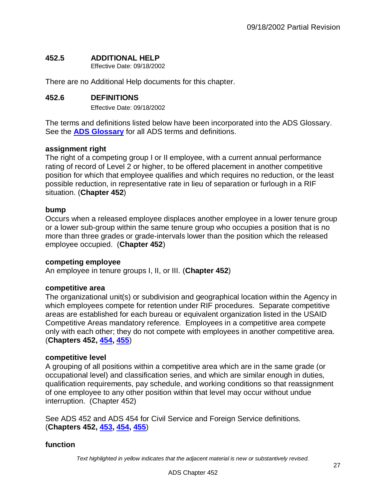## **452.5 ADDITIONAL HELP**

Effective Date: 09/18/2002

There are no Additional Help documents for this chapter.

#### <span id="page-26-0"></span>**452.6 DEFINITIONS**

Effective Date: 09/18/2002

The terms and definitions listed below have been incorporated into the ADS Glossary. See the **[ADS Glossary](http://www.usaid.gov/ads/policy/glossary)** for all ADS terms and definitions.

#### **assignment right**

The right of a competing group I or II employee, with a current annual performance rating of record of Level 2 or higher, to be offered placement in another competitive position for which that employee qualifies and which requires no reduction, or the least possible reduction, in representative rate in lieu of separation or furlough in a RIF situation. (**Chapter 452**)

#### **bump**

Occurs when a released employee displaces another employee in a lower tenure group or a lower sub-group within the same tenure group who occupies a position that is no more than three grades or grade-intervals lower than the position which the released employee occupied. (**Chapter 452**)

#### **competing employee**

An employee in tenure groups I, II, or III. (**Chapter 452**)

#### **competitive area**

The organizational unit(s) or subdivision and geographical location within the Agency in which employees compete for retention under RIF procedures. Separate competitive areas are established for each bureau or equivalent organization listed in the USAID Competitive Areas mandatory reference. Employees in a competitive area compete only with each other; they do not compete with employees in another competitive area. (**Chapters 452, [454,](http://www.usaid.gov/ads/policy/400/454) [455](http://www.usaid.gov/ads/policy/400/455)**)

#### **competitive level**

A grouping of all positions within a competitive area which are in the same grade (or occupational level) and classification series, and which are similar enough in duties, qualification requirements, pay schedule, and working conditions so that reassignment of one employee to any other position within that level may occur without undue interruption. (Chapter 452)

See ADS 452 and ADS 454 for Civil Service and Foreign Service definitions. (**Chapters 452, [453,](http://www.usaid.gov/ads/policy/400/453) [454,](http://www.usaid.gov/ads/policy/400/454) [455](http://www.usaid.gov/ads/policy/400/455)**)

#### **function**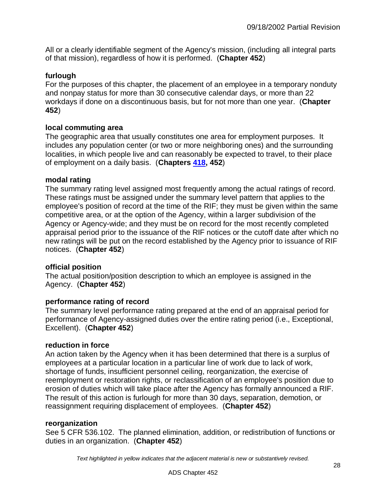All or a clearly identifiable segment of the Agency's mission, (including all integral parts of that mission), regardless of how it is performed. (**Chapter 452**)

## **furlough**

For the purposes of this chapter, the placement of an employee in a temporary nonduty and nonpay status for more than 30 consecutive calendar days, or more than 22 workdays if done on a discontinuous basis, but for not more than one year. (**Chapter 452**)

#### **local commuting area**

The geographic area that usually constitutes one area for employment purposes. It includes any population center (or two or more neighboring ones) and the surrounding localities, in which people live and can reasonably be expected to travel, to their place of employment on a daily basis. (**Chapters [418,](http://www.usaid.gov/ads/policy/400/418) 452**)

#### **modal rating**

The summary rating level assigned most frequently among the actual ratings of record. These ratings must be assigned under the summary level pattern that applies to the employee's position of record at the time of the RIF; they must be given within the same competitive area, or at the option of the Agency, within a larger subdivision of the Agency or Agency-wide; and they must be on record for the most recently completed appraisal period prior to the issuance of the RIF notices or the cutoff date after which no new ratings will be put on the record established by the Agency prior to issuance of RIF notices. (**Chapter 452**)

#### **official position**

The actual position/position description to which an employee is assigned in the Agency. (**Chapter 452**)

#### **performance rating of record**

The summary level performance rating prepared at the end of an appraisal period for performance of Agency-assigned duties over the entire rating period (i.e., Exceptional, Excellent). (**Chapter 452**)

#### **reduction in force**

An action taken by the Agency when it has been determined that there is a surplus of employees at a particular location in a particular line of work due to lack of work, shortage of funds, insufficient personnel ceiling, reorganization, the exercise of reemployment or restoration rights, or reclassification of an employee's position due to erosion of duties which will take place after the Agency has formally announced a RIF. The result of this action is furlough for more than 30 days, separation, demotion, or reassignment requiring displacement of employees. (**Chapter 452**)

#### **reorganization**

See 5 CFR 536.102. The planned elimination, addition, or redistribution of functions or duties in an organization. (**Chapter 452**)